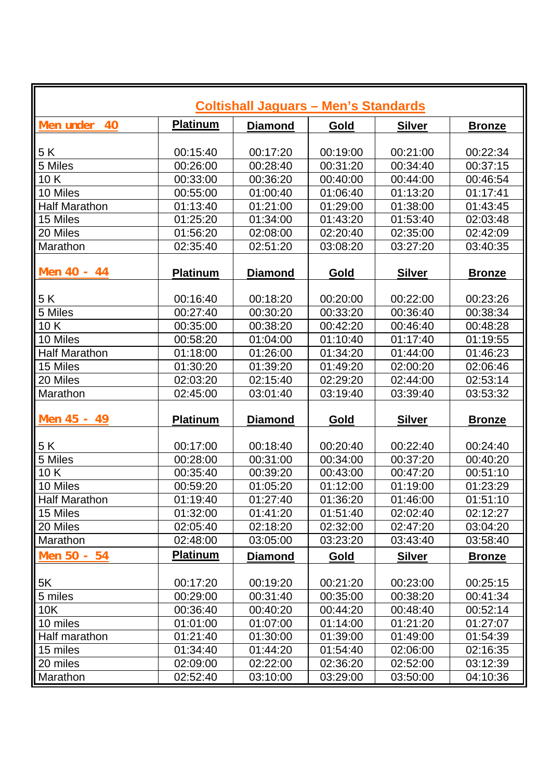| <b>Coltishall Jaguars - Men's Standards</b> |                 |                |          |               |               |  |  |  |
|---------------------------------------------|-----------------|----------------|----------|---------------|---------------|--|--|--|
| Men under<br>40                             | <b>Platinum</b> | <b>Diamond</b> | Gold     | <b>Silver</b> | <b>Bronze</b> |  |  |  |
|                                             |                 |                |          |               |               |  |  |  |
| 5K                                          | 00:15:40        | 00:17:20       | 00:19:00 | 00:21:00      | 00:22:34      |  |  |  |
| 5 Miles                                     | 00:26:00        | 00:28:40       | 00:31:20 | 00:34:40      | 00:37:15      |  |  |  |
| 10K                                         | 00:33:00        | 00:36:20       | 00:40:00 | 00:44:00      | 00:46:54      |  |  |  |
| 10 Miles                                    | 00:55:00        | 01:00:40       | 01:06:40 | 01:13:20      | 01:17:41      |  |  |  |
| <b>Half Marathon</b>                        | 01:13:40        | 01:21:00       | 01:29:00 | 01:38:00      | 01:43:45      |  |  |  |
| 15 Miles                                    | 01:25:20        | 01:34:00       | 01:43:20 | 01:53:40      | 02:03:48      |  |  |  |
| 20 Miles                                    | 01:56:20        | 02:08:00       | 02:20:40 | 02:35:00      | 02:42:09      |  |  |  |
| Marathon                                    | 02:35:40        | 02:51:20       | 03:08:20 | 03:27:20      | 03:40:35      |  |  |  |
| Men 40 - 44                                 | <b>Platinum</b> | <b>Diamond</b> | Gold     | <b>Silver</b> | <b>Bronze</b> |  |  |  |
| 5K                                          | 00:16:40        | 00:18:20       | 00:20:00 | 00:22:00      | 00:23:26      |  |  |  |
| 5 Miles                                     | 00:27:40        | 00:30:20       | 00:33:20 | 00:36:40      | 00:38:34      |  |  |  |
| 10K                                         | 00:35:00        | 00:38:20       | 00:42:20 | 00:46:40      | 00:48:28      |  |  |  |
| 10 Miles                                    | 00:58:20        | 01:04:00       | 01:10:40 | 01:17:40      | 01:19:55      |  |  |  |
| <b>Half Marathon</b>                        | 01:18:00        | 01:26:00       | 01:34:20 |               |               |  |  |  |
|                                             |                 |                |          | 01:44:00      | 01:46:23      |  |  |  |
| 15 Miles                                    | 01:30:20        | 01:39:20       | 01:49:20 | 02:00:20      | 02:06:46      |  |  |  |
| 20 Miles                                    | 02:03:20        | 02:15:40       | 02:29:20 | 02:44:00      | 02:53:14      |  |  |  |
| Marathon                                    | 02:45:00        | 03:01:40       | 03:19:40 | 03:39:40      | 03:53:32      |  |  |  |
| Men 45 - 49                                 | <b>Platinum</b> | <b>Diamond</b> | Gold     | <b>Silver</b> | <b>Bronze</b> |  |  |  |
| 5K                                          | 00:17:00        | 00:18:40       | 00:20:40 | 00:22:40      | 00:24:40      |  |  |  |
| 5 Miles                                     | 00:28:00        | 00:31:00       | 00:34:00 | 00:37:20      | 00:40:20      |  |  |  |
| 10K                                         | 00:35:40        | 00:39:20       | 00:43:00 | 00:47:20      | 00:51:10      |  |  |  |
| 10 Miles                                    | 00:59:20        | 01:05:20       | 01:12:00 | 01:19:00      | 01:23:29      |  |  |  |
| <b>Half Marathon</b>                        | 01:19:40        | 01:27:40       | 01:36:20 | 01:46:00      | 01:51:10      |  |  |  |
| 15 Miles                                    | 01:32:00        | 01:41:20       | 01:51:40 | 02:02:40      | 02:12:27      |  |  |  |
| 20 Miles                                    | 02:05:40        | 02:18:20       | 02:32:00 | 02:47:20      | 03:04:20      |  |  |  |
| Marathon                                    | 02:48:00        | 03:05:00       | 03:23:20 | 03:43:40      | 03:58:40      |  |  |  |
| Men 50 - 54                                 | <b>Platinum</b> | <b>Diamond</b> | Gold     | <b>Silver</b> | <b>Bronze</b> |  |  |  |
|                                             |                 |                |          |               |               |  |  |  |
| 5K                                          | 00:17:20        | 00:19:20       | 00:21:20 | 00:23:00      | 00:25:15      |  |  |  |
| 5 miles                                     | 00:29:00        | 00:31:40       | 00:35:00 | 00:38:20      | 00:41:34      |  |  |  |
| 10K                                         | 00:36:40        | 00:40:20       | 00:44:20 | 00:48:40      | 00:52:14      |  |  |  |
| 10 miles                                    | 01:01:00        | 01:07:00       | 01:14:00 | 01:21:20      | 01:27:07      |  |  |  |
| Half marathon                               | 01:21:40        | 01:30:00       | 01:39:00 | 01:49:00      | 01:54:39      |  |  |  |
| 15 miles                                    | 01:34:40        | 01:44:20       | 01:54:40 | 02:06:00      | 02:16:35      |  |  |  |
| 20 miles                                    | 02:09:00        | 02:22:00       | 02:36:20 | 02:52:00      | 03:12:39      |  |  |  |
| Marathon                                    | 02:52:40        | 03:10:00       | 03:29:00 | 03:50:00      | 04:10:36      |  |  |  |